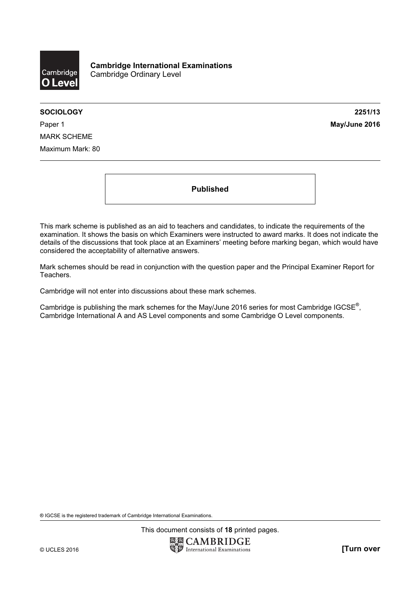

SOCIOLOGY 2251/13

Paper 1 **May/June 2016** MARK SCHEME Maximum Mark: 80

Published

This mark scheme is published as an aid to teachers and candidates, to indicate the requirements of the examination. It shows the basis on which Examiners were instructed to award marks. It does not indicate the details of the discussions that took place at an Examiners' meeting before marking began, which would have considered the acceptability of alternative answers.

Mark schemes should be read in conjunction with the question paper and the Principal Examiner Report for Teachers.

Cambridge will not enter into discussions about these mark schemes.

Cambridge is publishing the mark schemes for the May/June 2016 series for most Cambridge IGCSE*®* , Cambridge International A and AS Level components and some Cambridge O Level components.

® IGCSE is the registered trademark of Cambridge International Examinations.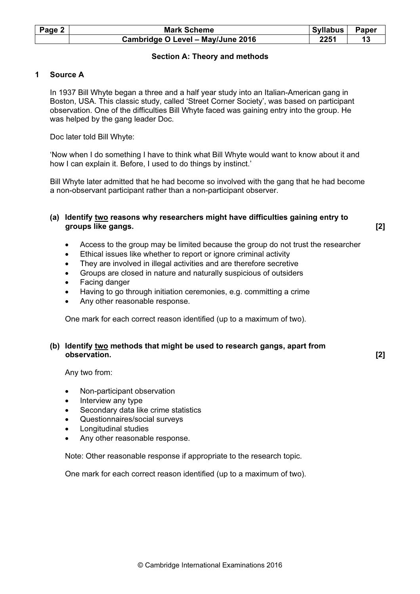| Page 2 | <b>Mark Scheme</b>                | Syllabus | Paper |
|--------|-----------------------------------|----------|-------|
|        | Cambridge O Level - May/June 2016 | 2251     |       |

# Section A: Theory and methods

# 1 Source A

In 1937 Bill Whyte began a three and a half year study into an Italian-American gang in Boston, USA. This classic study, called 'Street Corner Society', was based on participant observation. One of the difficulties Bill Whyte faced was gaining entry into the group. He was helped by the gang leader Doc.

Doc later told Bill Whyte:

'Now when I do something I have to think what Bill Whyte would want to know about it and how I can explain it. Before, I used to do things by instinct.'

Bill Whyte later admitted that he had become so involved with the gang that he had become a non-observant participant rather than a non-participant observer.

## (a) Identify two reasons why researchers might have difficulties gaining entry to groups like gangs. [2]

- Access to the group may be limited because the group do not trust the researcher
- Ethical issues like whether to report or ignore criminal activity
- They are involved in illegal activities and are therefore secretive
- Groups are closed in nature and naturally suspicious of outsiders
- Facing danger
- Having to go through initiation ceremonies, e.g. committing a crime
- Any other reasonable response.

One mark for each correct reason identified (up to a maximum of two).

## (b) Identify two methods that might be used to research gangs, apart from observation. [2]

Any two from:

- Non-participant observation
- Interview any type
- Secondary data like crime statistics
- Questionnaires/social surveys
- Longitudinal studies
- Any other reasonable response.

Note: Other reasonable response if appropriate to the research topic.

One mark for each correct reason identified (up to a maximum of two).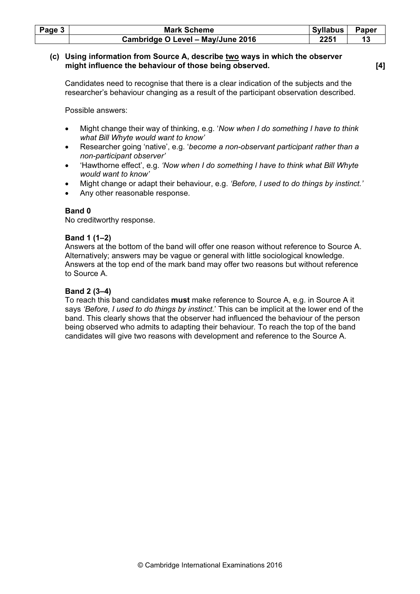| Page $3$ | <b>Mark Scheme</b>                | <b>Syllabus</b> | Paper |
|----------|-----------------------------------|-----------------|-------|
|          | Cambridge O Level - May/June 2016 | 2251            |       |

#### (c) Using information from Source A, describe two ways in which the observer might influence the behaviour of those being observed. [4]

Candidates need to recognise that there is a clear indication of the subjects and the researcher's behaviour changing as a result of the participant observation described.

Possible answers:

- Might change their way of thinking, e.g. 'Now when I do something I have to think what Bill Whyte would want to know'
- Researcher going 'native', e.g. 'become a non-observant participant rather than a non-participant observer'
- 'Hawthorne effect', e.g. 'Now when I do something I have to think what Bill Whyte would want to know'
- Might change or adapt their behaviour, e.g. 'Before, I used to do things by instinct.'
- Any other reasonable response.

## Band 0

No creditworthy response.

# Band 1 (1–2)

Answers at the bottom of the band will offer one reason without reference to Source A. Alternatively; answers may be vague or general with little sociological knowledge. Answers at the top end of the mark band may offer two reasons but without reference to Source A.

# Band 2 (3–4)

To reach this band candidates **must** make reference to Source A, e.g. in Source A it says 'Before, I used to do things by instinct.' This can be implicit at the lower end of the band. This clearly shows that the observer had influenced the behaviour of the person being observed who admits to adapting their behaviour. To reach the top of the band candidates will give two reasons with development and reference to the Source A.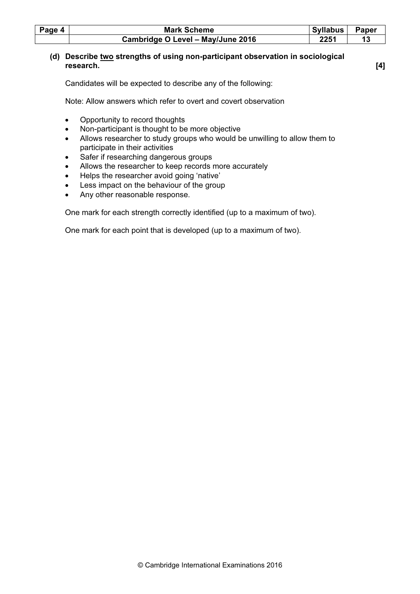| Page 4 | <b>Mark Scheme</b>                | <b>Syllabus</b> | Paper |
|--------|-----------------------------------|-----------------|-------|
|        | Cambridge O Level - May/June 2016 |                 |       |

# (d) Describe two strengths of using non-participant observation in sociological research. [4]

Candidates will be expected to describe any of the following:

Note: Allow answers which refer to overt and covert observation

- Opportunity to record thoughts
- Non-participant is thought to be more objective
- Allows researcher to study groups who would be unwilling to allow them to participate in their activities
- Safer if researching dangerous groups
- Allows the researcher to keep records more accurately
- Helps the researcher avoid going 'native'
- Less impact on the behaviour of the group
- Any other reasonable response.

One mark for each strength correctly identified (up to a maximum of two).

One mark for each point that is developed (up to a maximum of two).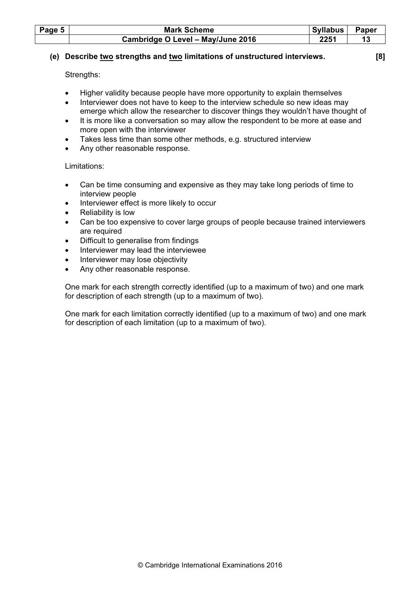| Page 5 | <b>Mark Scheme</b>                | <b>Syllabus</b> | Paper |
|--------|-----------------------------------|-----------------|-------|
|        | Cambridge O Level - May/June 2016 | 2251            |       |

# (e) Describe two strengths and two limitations of unstructured interviews. [8]

Strengths:

- Higher validity because people have more opportunity to explain themselves
- Interviewer does not have to keep to the interview schedule so new ideas may emerge which allow the researcher to discover things they wouldn't have thought of
- It is more like a conversation so may allow the respondent to be more at ease and more open with the interviewer
- Takes less time than some other methods, e.g. structured interview
- Any other reasonable response.

## Limitations:

- Can be time consuming and expensive as they may take long periods of time to interview people
- Interviewer effect is more likely to occur
- Reliability is low
- Can be too expensive to cover large groups of people because trained interviewers are required
- Difficult to generalise from findings
- Interviewer may lead the interviewee
- Interviewer may lose objectivity
- Any other reasonable response.

One mark for each strength correctly identified (up to a maximum of two) and one mark for description of each strength (up to a maximum of two).

One mark for each limitation correctly identified (up to a maximum of two) and one mark for description of each limitation (up to a maximum of two).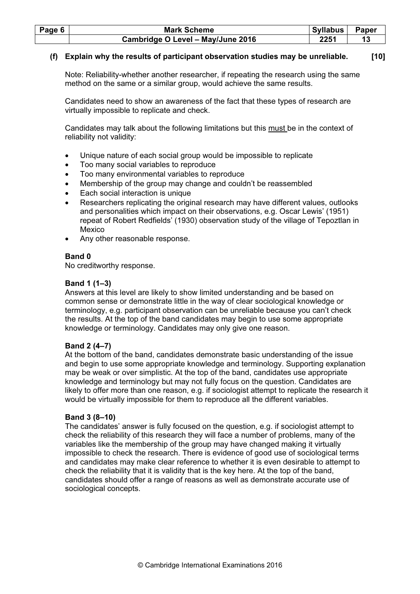| Page 6 | <b>Mark Scheme</b>                | Syllabus | <b>Paper</b> |
|--------|-----------------------------------|----------|--------------|
|        | Cambridge O Level - May/June 2016 | 2251     |              |

# (f) Explain why the results of participant observation studies may be unreliable. [10]

Note: Reliability-whether another researcher, if repeating the research using the same method on the same or a similar group, would achieve the same results.

Candidates need to show an awareness of the fact that these types of research are virtually impossible to replicate and check.

Candidates may talk about the following limitations but this must be in the context of reliability not validity:

- Unique nature of each social group would be impossible to replicate
- Too many social variables to reproduce
- Too many environmental variables to reproduce
- Membership of the group may change and couldn't be reassembled
- Each social interaction is unique
- Researchers replicating the original research may have different values, outlooks and personalities which impact on their observations, e.g. Oscar Lewis' (1951) repeat of Robert Redfields' (1930) observation study of the village of Tepoztlan in Mexico
- Any other reasonable response.

# Band 0

No creditworthy response.

# Band 1 (1–3)

Answers at this level are likely to show limited understanding and be based on common sense or demonstrate little in the way of clear sociological knowledge or terminology, e.g. participant observation can be unreliable because you can't check the results. At the top of the band candidates may begin to use some appropriate knowledge or terminology. Candidates may only give one reason.

# Band 2 (4–7)

At the bottom of the band, candidates demonstrate basic understanding of the issue and begin to use some appropriate knowledge and terminology. Supporting explanation may be weak or over simplistic. At the top of the band, candidates use appropriate knowledge and terminology but may not fully focus on the question. Candidates are likely to offer more than one reason, e.g. if sociologist attempt to replicate the research it would be virtually impossible for them to reproduce all the different variables.

# Band 3 (8–10)

The candidates' answer is fully focused on the question, e.g. if sociologist attempt to check the reliability of this research they will face a number of problems, many of the variables like the membership of the group may have changed making it virtually impossible to check the research. There is evidence of good use of sociological terms and candidates may make clear reference to whether it is even desirable to attempt to check the reliability that it is validity that is the key here. At the top of the band, candidates should offer a range of reasons as well as demonstrate accurate use of sociological concepts.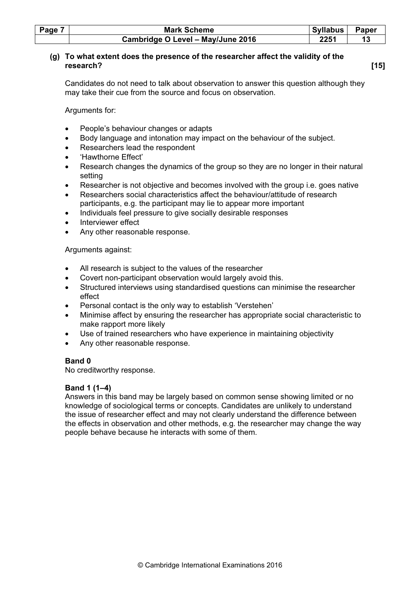| Page 7 | <b>Mark Scheme</b>                | <b>Syllabus</b> | <b>Paper</b> |
|--------|-----------------------------------|-----------------|--------------|
|        | Cambridge O Level - May/June 2016 | 2251            |              |

# (g) To what extent does the presence of the researcher affect the validity of the research? [15]

Candidates do not need to talk about observation to answer this question although they may take their cue from the source and focus on observation.

Arguments for:

- People's behaviour changes or adapts
- Body language and intonation may impact on the behaviour of the subject.
- Researchers lead the respondent
- 'Hawthorne Effect'
- Research changes the dynamics of the group so they are no longer in their natural setting
- Researcher is not objective and becomes involved with the group i.e. goes native
- Researchers social characteristics affect the behaviour/attitude of research participants, e.g. the participant may lie to appear more important
- Individuals feel pressure to give socially desirable responses
- Interviewer effect
- Any other reasonable response.

# Arguments against:

- All research is subject to the values of the researcher
- Covert non-participant observation would largely avoid this.
- Structured interviews using standardised questions can minimise the researcher effect
- Personal contact is the only way to establish 'Verstehen'
- Minimise affect by ensuring the researcher has appropriate social characteristic to make rapport more likely
- Use of trained researchers who have experience in maintaining objectivity
- Any other reasonable response.

# Band 0

No creditworthy response.

# Band 1 (1–4)

Answers in this band may be largely based on common sense showing limited or no knowledge of sociological terms or concepts. Candidates are unlikely to understand the issue of researcher effect and may not clearly understand the difference between the effects in observation and other methods, e.g. the researcher may change the way people behave because he interacts with some of them.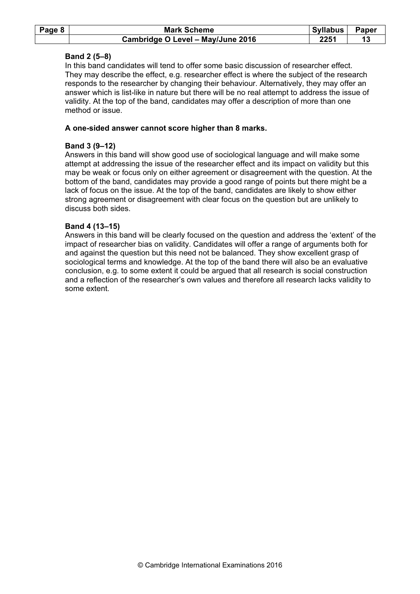| Page 8 | <b>Mark Scheme</b>                | <b>Syllabus</b> | Paper |
|--------|-----------------------------------|-----------------|-------|
|        | Cambridge O Level - May/June 2016 | 2251            |       |

# Band 2 (5–8)

In this band candidates will tend to offer some basic discussion of researcher effect. They may describe the effect, e.g. researcher effect is where the subject of the research responds to the researcher by changing their behaviour. Alternatively, they may offer an answer which is list-like in nature but there will be no real attempt to address the issue of validity. At the top of the band, candidates may offer a description of more than one method or issue.

## A one-sided answer cannot score higher than 8 marks.

# Band 3 (9–12)

Answers in this band will show good use of sociological language and will make some attempt at addressing the issue of the researcher effect and its impact on validity but this may be weak or focus only on either agreement or disagreement with the question. At the bottom of the band, candidates may provide a good range of points but there might be a lack of focus on the issue. At the top of the band, candidates are likely to show either strong agreement or disagreement with clear focus on the question but are unlikely to discuss both sides.

## Band 4 (13–15)

Answers in this band will be clearly focused on the question and address the 'extent' of the impact of researcher bias on validity. Candidates will offer a range of arguments both for and against the question but this need not be balanced. They show excellent grasp of sociological terms and knowledge. At the top of the band there will also be an evaluative conclusion, e.g. to some extent it could be argued that all research is social construction and a reflection of the researcher's own values and therefore all research lacks validity to some extent.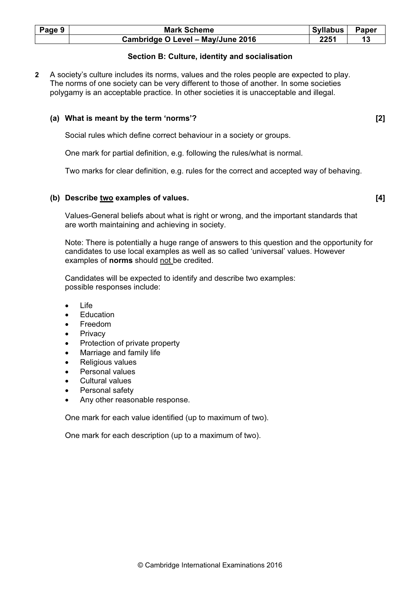| Page 9 | <b>Mark Scheme</b>                | <b>Syllabus</b> | Paper |
|--------|-----------------------------------|-----------------|-------|
|        | Cambridge O Level - May/June 2016 | 2251            |       |

# Section B: Culture, identity and socialisation

2 A society's culture includes its norms, values and the roles people are expected to play. The norms of one society can be very different to those of another. In some societies polygamy is an acceptable practice. In other societies it is unacceptable and illegal.

#### (a) What is meant by the term 'norms'? [2]

Social rules which define correct behaviour in a society or groups.

One mark for partial definition, e.g. following the rules/what is normal.

Two marks for clear definition, e.g. rules for the correct and accepted way of behaving.

## (b) Describe two examples of values. [4]

Values-General beliefs about what is right or wrong, and the important standards that are worth maintaining and achieving in society.

Note: There is potentially a huge range of answers to this question and the opportunity for candidates to use local examples as well as so called 'universal' values. However examples of norms should not be credited.

Candidates will be expected to identify and describe two examples: possible responses include:

- Life
- Education
- Freedom
- **Privacy**
- Protection of private property
- Marriage and family life
- Religious values
- Personal values
- Cultural values
- Personal safety
- Any other reasonable response.

One mark for each value identified (up to maximum of two).

One mark for each description (up to a maximum of two).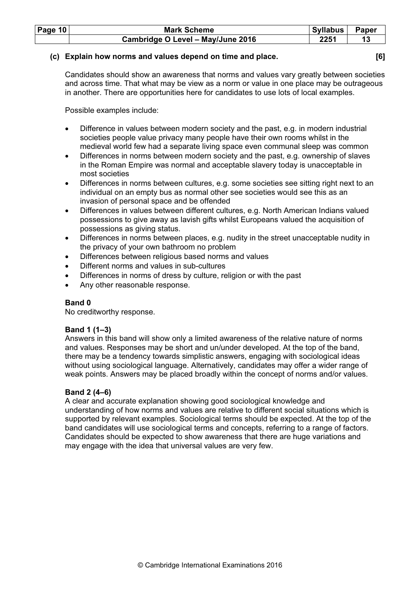| <b>Page 10</b> | <b>Mark Scheme</b>                | Syllabus | Paper |
|----------------|-----------------------------------|----------|-------|
|                | Cambridge O Level - May/June 2016 | 2251     |       |

# (c) Explain how norms and values depend on time and place. [6]

Candidates should show an awareness that norms and values vary greatly between societies and across time. That what may be view as a norm or value in one place may be outrageous in another. There are opportunities here for candidates to use lots of local examples.

Possible examples include:

- Difference in values between modern society and the past, e.g. in modern industrial societies people value privacy many people have their own rooms whilst in the medieval world few had a separate living space even communal sleep was common
- Differences in norms between modern society and the past, e.g. ownership of slaves in the Roman Empire was normal and acceptable slavery today is unacceptable in most societies
- Differences in norms between cultures, e.g. some societies see sitting right next to an individual on an empty bus as normal other see societies would see this as an invasion of personal space and be offended
- Differences in values between different cultures, e.g. North American Indians valued possessions to give away as lavish gifts whilst Europeans valued the acquisition of possessions as giving status.
- Differences in norms between places, e.g. nudity in the street unacceptable nudity in the privacy of your own bathroom no problem
- Differences between religious based norms and values
- Different norms and values in sub-cultures
- Differences in norms of dress by culture, religion or with the past
- Any other reasonable response.

# Band 0

No creditworthy response.

# Band 1 (1–3)

Answers in this band will show only a limited awareness of the relative nature of norms and values. Responses may be short and un/under developed. At the top of the band, there may be a tendency towards simplistic answers, engaging with sociological ideas without using sociological language. Alternatively, candidates may offer a wider range of weak points. Answers may be placed broadly within the concept of norms and/or values.

# Band 2 (4–6)

A clear and accurate explanation showing good sociological knowledge and understanding of how norms and values are relative to different social situations which is supported by relevant examples. Sociological terms should be expected. At the top of the band candidates will use sociological terms and concepts, referring to a range of factors. Candidates should be expected to show awareness that there are huge variations and may engage with the idea that universal values are very few.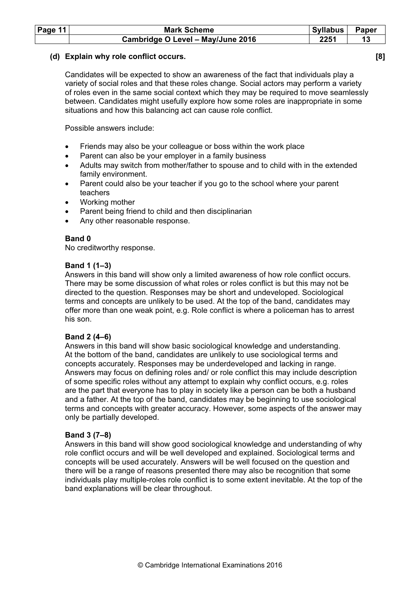| Page $11$ | <b>Mark Scheme</b>                | Syllabus | <b>Paper</b> |
|-----------|-----------------------------------|----------|--------------|
|           | Cambridge O Level - May/June 2016 | 2251     |              |

#### (d) Explain why role conflict occurs. [8]

Candidates will be expected to show an awareness of the fact that individuals play a variety of social roles and that these roles change. Social actors may perform a variety of roles even in the same social context which they may be required to move seamlessly between. Candidates might usefully explore how some roles are inappropriate in some situations and how this balancing act can cause role conflict.

Possible answers include:

- Friends may also be your colleague or boss within the work place
- Parent can also be your employer in a family business
- Adults may switch from mother/father to spouse and to child with in the extended family environment.
- Parent could also be your teacher if you go to the school where your parent teachers
- Working mother
- Parent being friend to child and then disciplinarian
- Any other reasonable response.

#### Band 0

No creditworthy response.

#### Band 1 (1–3)

Answers in this band will show only a limited awareness of how role conflict occurs. There may be some discussion of what roles or roles conflict is but this may not be directed to the question. Responses may be short and undeveloped. Sociological terms and concepts are unlikely to be used. At the top of the band, candidates may offer more than one weak point, e.g. Role conflict is where a policeman has to arrest his son.

#### Band 2 (4–6)

Answers in this band will show basic sociological knowledge and understanding. At the bottom of the band, candidates are unlikely to use sociological terms and concepts accurately. Responses may be underdeveloped and lacking in range. Answers may focus on defining roles and/ or role conflict this may include description of some specific roles without any attempt to explain why conflict occurs, e.g. roles are the part that everyone has to play in society like a person can be both a husband and a father. At the top of the band, candidates may be beginning to use sociological terms and concepts with greater accuracy. However, some aspects of the answer may only be partially developed.

#### Band 3 (7–8)

Answers in this band will show good sociological knowledge and understanding of why role conflict occurs and will be well developed and explained. Sociological terms and concepts will be used accurately. Answers will be well focused on the question and there will be a range of reasons presented there may also be recognition that some individuals play multiple-roles role conflict is to some extent inevitable. At the top of the band explanations will be clear throughout.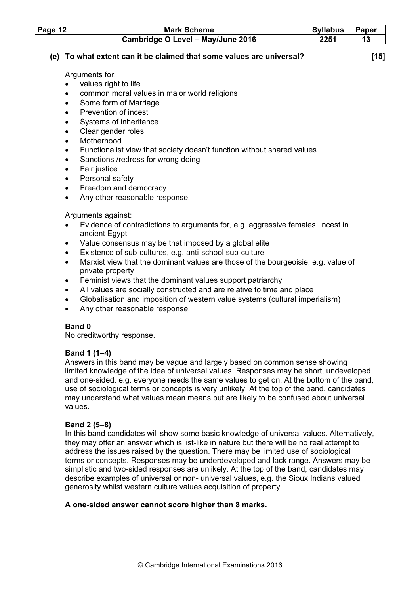| Page $12$ | <b>Mark Scheme</b>                | Syllabus | Paper |
|-----------|-----------------------------------|----------|-------|
|           | Cambridge O Level - May/June 2016 | 2251     |       |

# (e) To what extent can it be claimed that some values are universal? [15]

Arguments for:

- values right to life
- common moral values in major world religions
- Some form of Marriage
- Prevention of incest
- Systems of inheritance
- Clear gender roles
- **Motherhood**
- Functionalist view that society doesn't function without shared values
- Sanctions /redress for wrong doing
- Fair justice
- Personal safety
- Freedom and democracy
- Any other reasonable response.

# Arguments against:

- Evidence of contradictions to arguments for, e.g. aggressive females, incest in ancient Egypt
- Value consensus may be that imposed by a global elite
- Existence of sub-cultures, e.g. anti-school sub-culture
- Marxist view that the dominant values are those of the bourgeoisie, e.g. value of private property
- Feminist views that the dominant values support patriarchy
- All values are socially constructed and are relative to time and place
- Globalisation and imposition of western value systems (cultural imperialism)
- Any other reasonable response.

# Band 0

No creditworthy response.

# Band 1 (1–4)

Answers in this band may be vague and largely based on common sense showing limited knowledge of the idea of universal values. Responses may be short, undeveloped and one-sided. e.g. everyone needs the same values to get on. At the bottom of the band, use of sociological terms or concepts is very unlikely. At the top of the band, candidates may understand what values mean means but are likely to be confused about universal values.

# Band 2 (5–8)

In this band candidates will show some basic knowledge of universal values. Alternatively, they may offer an answer which is list-like in nature but there will be no real attempt to address the issues raised by the question. There may be limited use of sociological terms or concepts. Responses may be underdeveloped and lack range. Answers may be simplistic and two-sided responses are unlikely. At the top of the band, candidates may describe examples of universal or non- universal values, e.g. the Sioux Indians valued generosity whilst western culture values acquisition of property.

# A one-sided answer cannot score higher than 8 marks.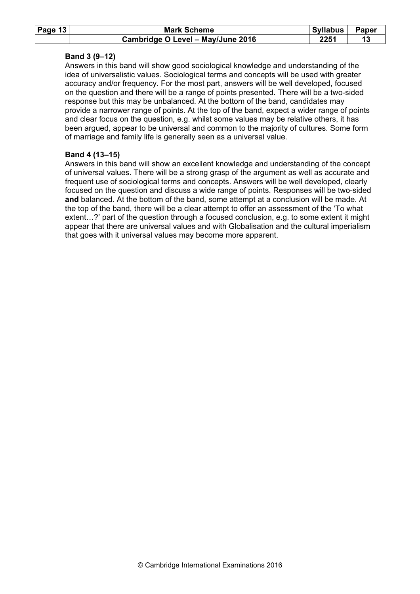| Page 13 | <b>Mark Scheme</b>                | Syllabus | <b>Paper</b> |
|---------|-----------------------------------|----------|--------------|
|         | Cambridge O Level - May/June 2016 | 2251     |              |

# Band 3 (9–12)

Answers in this band will show good sociological knowledge and understanding of the idea of universalistic values. Sociological terms and concepts will be used with greater accuracy and/or frequency. For the most part, answers will be well developed, focused on the question and there will be a range of points presented. There will be a two-sided response but this may be unbalanced. At the bottom of the band, candidates may provide a narrower range of points. At the top of the band, expect a wider range of points and clear focus on the question, e.g. whilst some values may be relative others, it has been argued, appear to be universal and common to the majority of cultures. Some form of marriage and family life is generally seen as a universal value.

# Band 4 (13–15)

Answers in this band will show an excellent knowledge and understanding of the concept of universal values. There will be a strong grasp of the argument as well as accurate and frequent use of sociological terms and concepts. Answers will be well developed, clearly focused on the question and discuss a wide range of points. Responses will be two-sided and balanced. At the bottom of the band, some attempt at a conclusion will be made. At the top of the band, there will be a clear attempt to offer an assessment of the 'To what extent…?' part of the question through a focused conclusion, e.g. to some extent it might appear that there are universal values and with Globalisation and the cultural imperialism that goes with it universal values may become more apparent.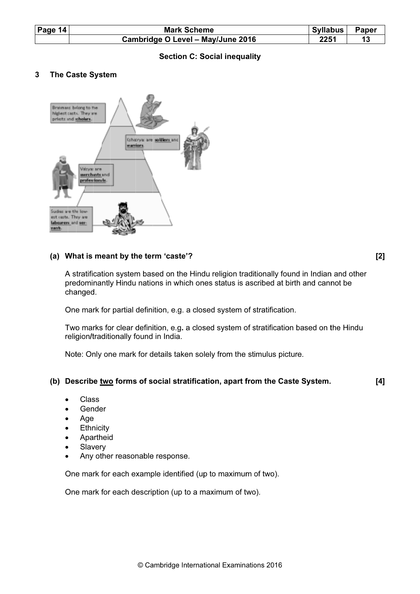| Page 14 |                              | <b>Mark Scheme</b><br><b>Syllabus</b><br>Paper                                                                                                                                                                           |       |
|---------|------------------------------|--------------------------------------------------------------------------------------------------------------------------------------------------------------------------------------------------------------------------|-------|
|         |                              | Cambridge O Level - May/June 2016<br>2251<br>13                                                                                                                                                                          |       |
|         |                              | <b>Section C: Social inequality</b>                                                                                                                                                                                      |       |
| 3       |                              | The Caste System                                                                                                                                                                                                         |       |
|         | labourers and ser-<br>vants. | Brahmass belong to the<br>highest casts. They are<br>prints and scholars.<br><b>Ghabrya: are soldiers and</b><br>warriors<br>Vácyar are<br>merchints and<br>professionals.<br>Sudres are the low-<br>est casts. They are |       |
|         |                              | (a) What is meant by the term 'caste'?                                                                                                                                                                                   | $[2]$ |
|         |                              | A stratification system based on the Hindu religion traditionally found in Indian and other                                                                                                                              |       |

# Section C: Social inequality

#### 3 The Caste System



#### (a) What is meant by the term 'caste'?

[2 ]

A stratification system based on the Hindu religion traditionally found in Indian and other predominantly Hindu nations in which ones status is ascribed at birth and cannot be changed. predominantly Hindu nations in which ones status is ascribed at birth and cannot be<br>changed.<br>One mark for partial definition, e.g. a closed system of stratification.<br>Two marks for clear definition, e.g. a closed system of fou<br>at bi<br>atior<br>atior<br>pict<br>**Cas**<br>6

One mark for partial definition, e.g. a closed system of stratification.

religion/traditionally found in India.

Note: Only one mark for details taken solely from the stimulus picture.

#### (b) Describe <u>two</u> forms of social stratification, apart from the Caste System. [4 ]

- C Clas ss
- Gender
- A Age
- Age<br>Ethnicity
- Apartheid
- Slavery
- Apartheid<br>Slavery<br>Any other reasonable response.

One mark for each example identified (up to maximum of two).

One mark for each description (up to a maximum of two).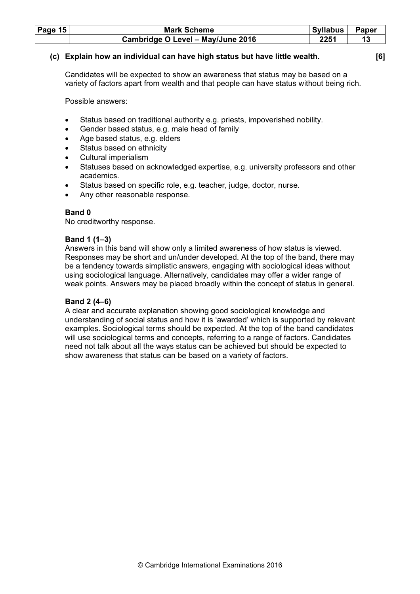| Page $15$ | <b>Mark Scheme</b>                | Syllabus | Paper |
|-----------|-----------------------------------|----------|-------|
|           | Cambridge O Level - May/June 2016 | 2251     |       |

## (c) Explain how an individual can have high status but have little wealth. [6]

Candidates will be expected to show an awareness that status may be based on a variety of factors apart from wealth and that people can have status without being rich.

Possible answers:

- Status based on traditional authority e.g. priests, impoverished nobility.
- Gender based status, e.g. male head of family
- Age based status, e.g. elders
- Status based on ethnicity
- Cultural imperialism
- Statuses based on acknowledged expertise, e.g. university professors and other academics.
- Status based on specific role, e.g. teacher, judge, doctor, nurse.
- Any other reasonable response.

## Band 0

No creditworthy response.

## Band 1 (1–3)

Answers in this band will show only a limited awareness of how status is viewed. Responses may be short and un/under developed. At the top of the band, there may be a tendency towards simplistic answers, engaging with sociological ideas without using sociological language. Alternatively, candidates may offer a wider range of weak points. Answers may be placed broadly within the concept of status in general.

# Band 2 (4–6)

A clear and accurate explanation showing good sociological knowledge and understanding of social status and how it is 'awarded' which is supported by relevant examples. Sociological terms should be expected. At the top of the band candidates will use sociological terms and concepts, referring to a range of factors. Candidates need not talk about all the ways status can be achieved but should be expected to show awareness that status can be based on a variety of factors.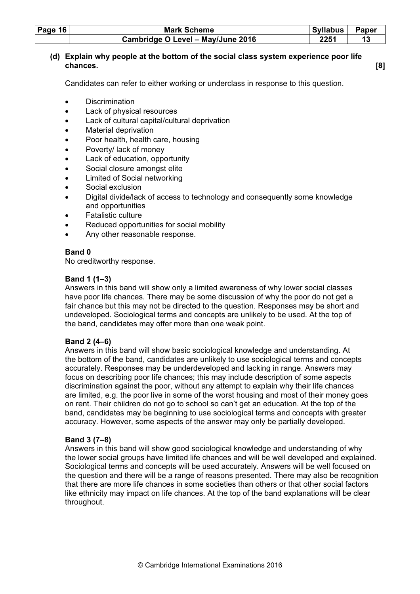| Page $16$ | <b>Mark Scheme</b>                | <b>Syllabus</b> | <b>Paper</b> |
|-----------|-----------------------------------|-----------------|--------------|
|           | Cambridge O Level - May/June 2016 | 2251            |              |

# (d) Explain why people at the bottom of the social class system experience poor life chances. [8]

Candidates can refer to either working or underclass in response to this question.

- Discrimination
- Lack of physical resources
- Lack of cultural capital/cultural deprivation
- Material deprivation
- Poor health, health care, housing
- Poverty/ lack of money
- Lack of education, opportunity
- Social closure amongst elite
- Limited of Social networking
- Social exclusion
- Digital divide/lack of access to technology and consequently some knowledge and opportunities
- Fatalistic culture
- Reduced opportunities for social mobility
- Any other reasonable response.

#### Band 0

No creditworthy response.

## Band 1 (1–3)

Answers in this band will show only a limited awareness of why lower social classes have poor life chances. There may be some discussion of why the poor do not get a fair chance but this may not be directed to the question. Responses may be short and undeveloped. Sociological terms and concepts are unlikely to be used. At the top of the band, candidates may offer more than one weak point.

#### Band 2 (4–6)

Answers in this band will show basic sociological knowledge and understanding. At the bottom of the band, candidates are unlikely to use sociological terms and concepts accurately. Responses may be underdeveloped and lacking in range. Answers may focus on describing poor life chances; this may include description of some aspects discrimination against the poor, without any attempt to explain why their life chances are limited, e.g. the poor live in some of the worst housing and most of their money goes on rent. Their children do not go to school so can't get an education. At the top of the band, candidates may be beginning to use sociological terms and concepts with greater accuracy. However, some aspects of the answer may only be partially developed.

#### Band 3 (7–8)

Answers in this band will show good sociological knowledge and understanding of why the lower social groups have limited life chances and will be well developed and explained. Sociological terms and concepts will be used accurately. Answers will be well focused on the question and there will be a range of reasons presented. There may also be recognition that there are more life chances in some societies than others or that other social factors like ethnicity may impact on life chances. At the top of the band explanations will be clear throughout.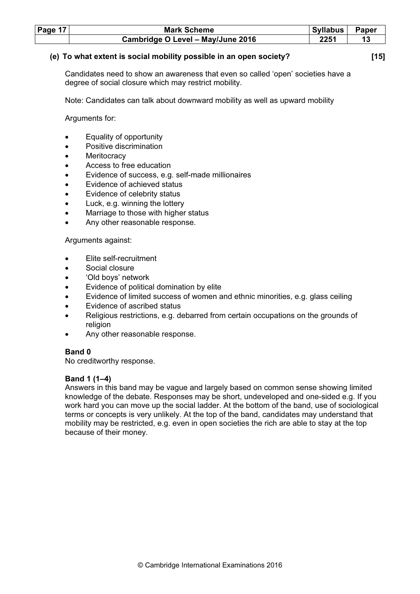| Page $17$ | <b>Mark Scheme</b>                | <b>Syllabus</b> | <b>Paper</b> |
|-----------|-----------------------------------|-----------------|--------------|
|           | Cambridge O Level - May/June 2016 | 2251            |              |

#### (e) To what extent is social mobility possible in an open society? [15]

Candidates need to show an awareness that even so called 'open' societies have a degree of social closure which may restrict mobility.

Note: Candidates can talk about downward mobility as well as upward mobility

Arguments for:

- Equality of opportunity
- Positive discrimination
- **Meritocracy**
- Access to free education
- Evidence of success, e.g. self-made millionaires
- Evidence of achieved status
- Evidence of celebrity status
- Luck, e.g. winning the lottery
- Marriage to those with higher status
- Any other reasonable response.

Arguments against:

- Elite self-recruitment
- Social closure
- 'Old boys' network
- Evidence of political domination by elite
- Evidence of limited success of women and ethnic minorities, e.g. glass ceiling
- Evidence of ascribed status
- Religious restrictions, e.g. debarred from certain occupations on the grounds of religion
- Any other reasonable response.

#### Band 0

No creditworthy response.

#### Band 1 (1–4)

Answers in this band may be vague and largely based on common sense showing limited knowledge of the debate. Responses may be short, undeveloped and one-sided e.g. If you work hard you can move up the social ladder. At the bottom of the band, use of sociological terms or concepts is very unlikely. At the top of the band, candidates may understand that mobility may be restricted, e.g. even in open societies the rich are able to stay at the top because of their money.